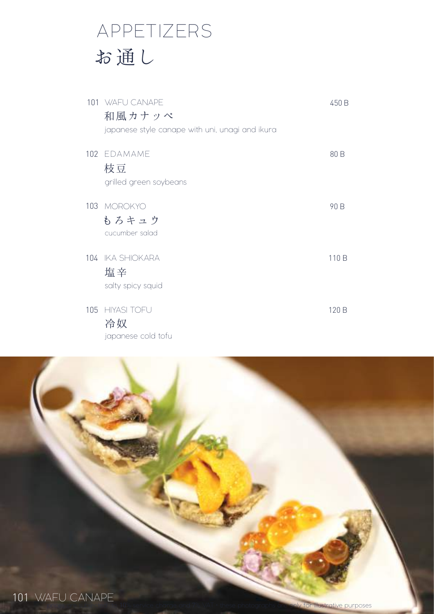## APPETIZERS お通し

| 101 WAFU CANAPE<br>和風カナッペ<br>japanese style canape with uni, unagi and ikura | 450 B |
|------------------------------------------------------------------------------|-------|
| 102 EDAMAME<br>枝豆<br>grilled green soybeans                                  | 80 B  |
| 103 MOROKYO<br>もろキュウ<br>cucumber salad                                       | 90 B  |
| 104 IKA SHIOKARA<br>塩辛<br>salty spicy squid                                  | 110 B |
| 105 HIYASI TOFU<br>冷奴<br>japanese cold tofu                                  | 120 B |

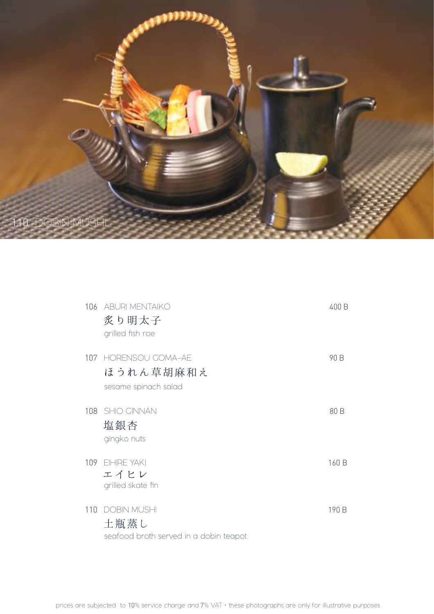

| 106 | <b>ABURI MENTAIKO</b><br>炙り明太子<br>grilled fish roe                   | 400 B |
|-----|----------------------------------------------------------------------|-------|
| 107 | <b>HORENSOU GOMA-AE</b><br>ほうれん草胡麻和え<br>sesame spinach salad         | 90 B  |
| 108 | <b>SHIO GINNAN</b><br>塩銀杏<br>gingko nuts                             | 80 B  |
|     | 109 EIHIRE YAKI<br>エイヒレ<br>grilled skate fin                         | 160 B |
| 110 | <b>DOBIN MUSHI</b><br>土瓶蒸し<br>seafood broth served in a dobin teapot | 190 B |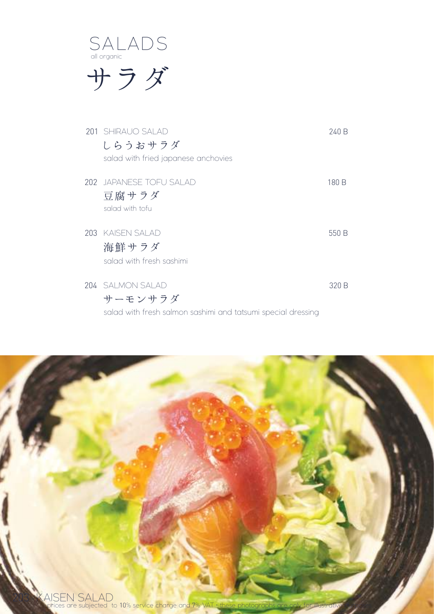

サラダ

| 201 SHIRAUO SALAD<br>しらうおサラダ                                                                | 240 B |
|---------------------------------------------------------------------------------------------|-------|
| salad with fried japanese anchovies                                                         |       |
| 202 JAPANESE TOFU SALAD<br>豆腐サラダ<br>salad with tofu                                         | 180 B |
| 203 KAISEN SALAD<br>海鮮サラダ<br>salad with fresh sashimi                                       | 550 B |
| 204 SALMON SALAD<br>サーモンサラダ<br>salad with fresh salmon sashimi and tatsumi special dressing | 320 B |

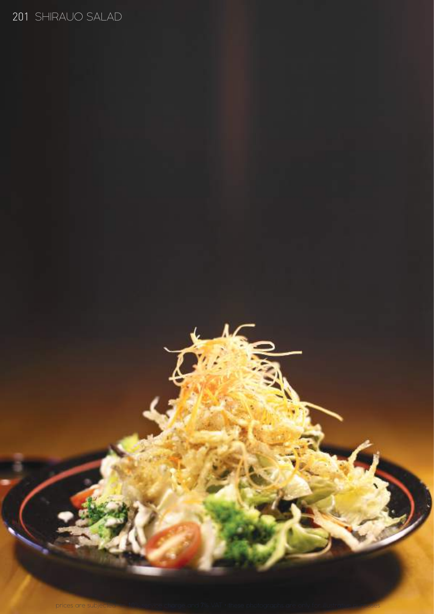### 201 SHIRAUO SALAD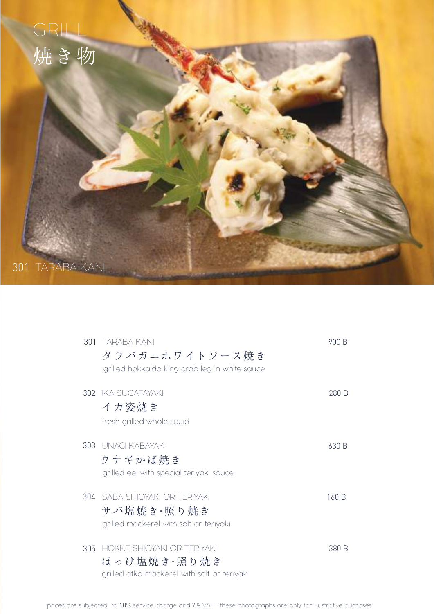

| 301 | - TARARA KANI<br>タラバガニホワイトソース焼き<br>grilled hokkaido king crab leg in white sauce         | 900 B |
|-----|------------------------------------------------------------------------------------------|-------|
|     | 302 IKA SUGATAYAKI<br>イカ姿焼き<br>fresh grilled whole squid                                 | 280 B |
|     | 303 UNAGI KABAYAKI<br>ウナギかば焼き<br>grilled eel with special teriyaki sauce                 | 630 B |
| 304 | SABA SHIOYAKI OR TERIYAKI<br>サバ塩焼き・照り焼き<br>grilled mackerel with salt or teriyaki        | 160 B |
| 305 | HOKKF SHIOYAKI OR TFRIYAKI<br>ほっけ塩焼き・照り焼き<br>grilled atka mackerel with salt or teriyaki | 380 B |

prices are subjected to 10% service charge and 7% VAT • these photographs are only for illustrative purposes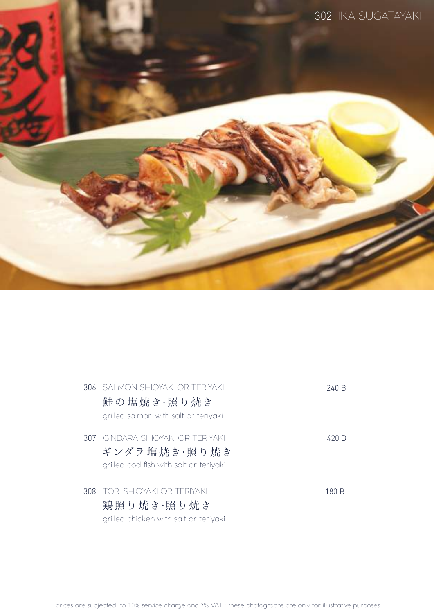

| 306- | I SAI MON SHIOYAKI OR TERIYAKI<br>鮭の 塩焼き・照り焼き<br>grilled salmon with salt or teriyaki          | 240 B |
|------|------------------------------------------------------------------------------------------------|-------|
| 307  | <b>GINDARA SHIOYAKI OR TFRIYAKI</b><br>ギンダラ 塩焼き・照り焼き<br>grilled cod fish with salt or teriyaki | 420 B |
| 308  | <b>TORI SHIOYAKI OR TERIYAKI</b><br>鶏照り焼き・照り焼き<br>grilled chicken with salt or teriyaki        | 180 B |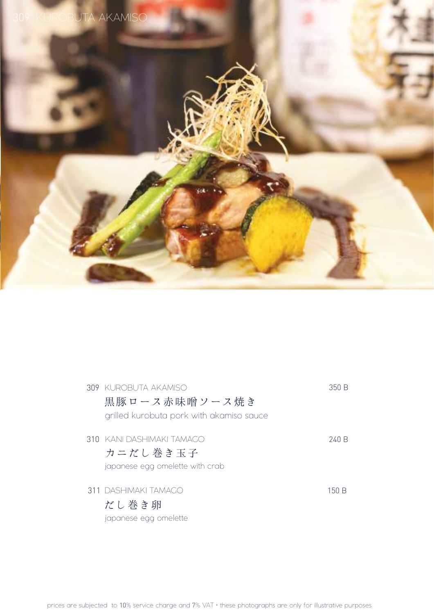

| 309 KUROBUTA AKAMISO                     | 350 B |
|------------------------------------------|-------|
| 黒豚ロース赤味噌ソース焼き                            |       |
| grilled kurobuta pork with akamiso sauce |       |
| 310 - KANI DASHIMAKI TAMAGO              | 240 B |
| カニだし巻き玉子                                 |       |
| japanese egg omelette with crab          |       |
| 311 DASHIMAKI TAMAGO                     | 150 B |
| だし巻き卵                                    |       |
| japanese egg omelette                    |       |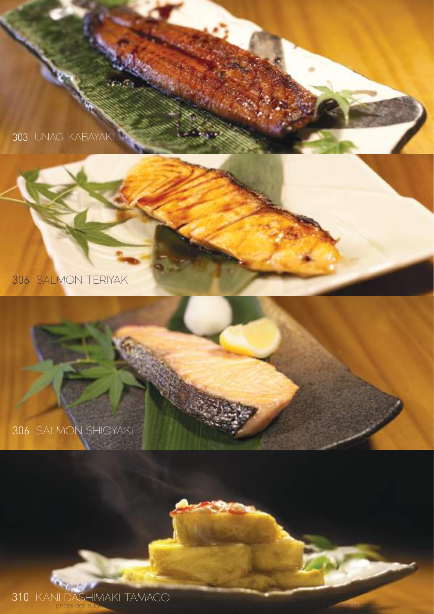UNAGI KABAYAKI

SALMON TERIYAKI



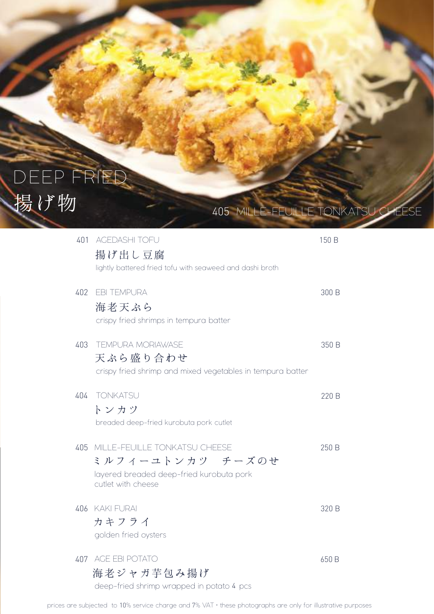# DEEP FRIED 揚げ物

| 401 | <b>AGEDASHI TOFU</b><br>揚げ出し豆腐<br>lightly battered fried tofu with seaweed and dashi broth                          | 150 B |
|-----|---------------------------------------------------------------------------------------------------------------------|-------|
| 402 | <b>EBI TEMPURA</b><br>海老天ぷら<br>crispy fried shrimps in tempura batter                                               | 300 B |
| 403 | <b>TEMPURA MORIAWASE</b><br>天ぷら盛り合わせ<br>crispy fried shrimp and mixed vegetables in tempura batter                  | 350 B |
| 404 | <b>TONKATSU</b><br>トンカツ<br>breaded deep-fried kurobuta pork cutlet                                                  | 220 B |
| 405 | MILLE-FEUILLE TONKATSU CHEESE<br>ミルフィーユトンカツ チーズのせ<br>layered breaded deep-fried kurobuta pork<br>cutlet with cheese | 250 B |
|     | 406 KAKI FURAI<br>カキフライ<br>golden fried oysters                                                                     | 320 B |
| 407 | AGE EBI POTATO<br>海老ジャガ芋包み揚げ                                                                                        | 650 B |

405 MILLE-FEUILLE TONKATSU CHEESE

deep-fried shrimp wrapped in potato 4 pcs

prices are subjected to 10% service charge and 7% VAT • these photographs are only for illustrative purposes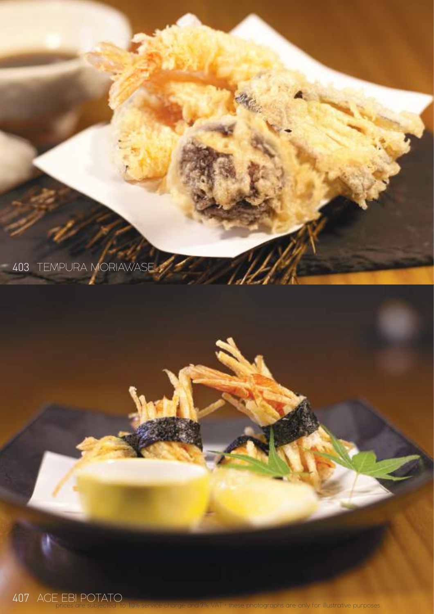

AGE EBI POTATO

 $p$  10  $\mu$  10  $\mu$   $\sim$  10  $\mu$  these photographs are only for illustrative purposes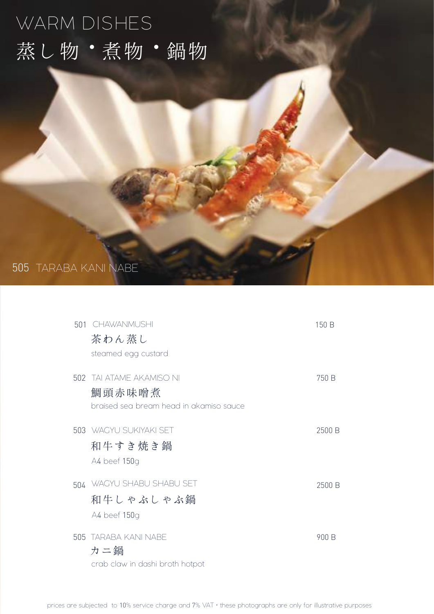## WARM DISHES 蒸し物·煮物·鍋物

### 505 TARABA KANI NABE

| 501 CHAWANMUSHI                         | 150 B  |
|-----------------------------------------|--------|
| 茶わん蒸し                                   |        |
| steamed egg custard                     |        |
| 502 TAI ATAME AKAMISO NI                | 750 B  |
| 鯛頭赤味噌煮                                  |        |
| braised sea bream head in akamiso sauce |        |
| 503 WACYU SUKIYAKI SET                  | 2500 B |
| 和牛すき焼き鍋                                 |        |
| A4 beef 150g                            |        |
| 504 WAGYU SHABU SHABU SET               | 2500 B |
| 和牛しゃぶしゃぶ鍋                               |        |
| A4 beef 150g                            |        |
| 505 TARABA KANI NABE                    | 900 B  |
| カニ鍋                                     |        |
| crab claw in dashi broth hotpot         |        |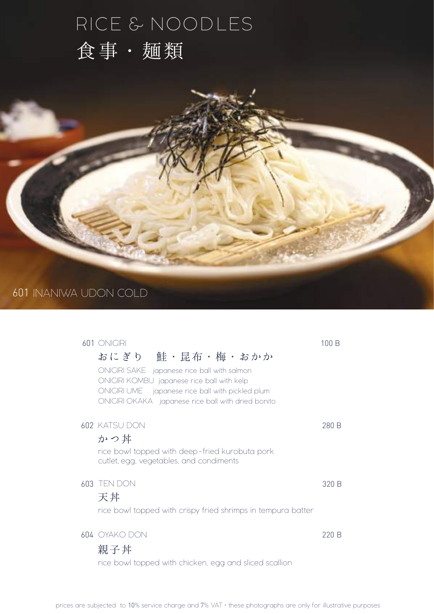## RICE & NOODLES 食事・麺類

#### 601 INANIWA UDON COLD

|  | 601 ONIGIRI                                                                                    | 100 B |
|--|------------------------------------------------------------------------------------------------|-------|
|  | おにぎり 鮭・昆布・梅・おかか                                                                                |       |
|  | ONIGIRI SAKE japanese rice ball with salmon                                                    |       |
|  | ONIGIRI KOMBU japanese rice ball with kelp<br>ONIGIRI UME japanese rice ball with pickled plum |       |
|  | ONIGIRI OKAKA japanese rice ball with dried bonito                                             |       |
|  | 602 KATSU DON                                                                                  | 280 B |
|  | かつ丼                                                                                            |       |
|  | rice bowl topped with deep-fried kurobuta pork                                                 |       |
|  | cutlet, egg, vegetables, and condiments                                                        |       |
|  | 603 TEN DON                                                                                    | 320 B |
|  | 天丼                                                                                             |       |
|  | rice bowl topped with crispy fried shrimps in tempura batter                                   |       |
|  |                                                                                                |       |
|  | 604 OYAKO DON                                                                                  | 220 B |
|  | 親子丼                                                                                            |       |
|  | rice bowl topped with chicken, egg and sliced scallion                                         |       |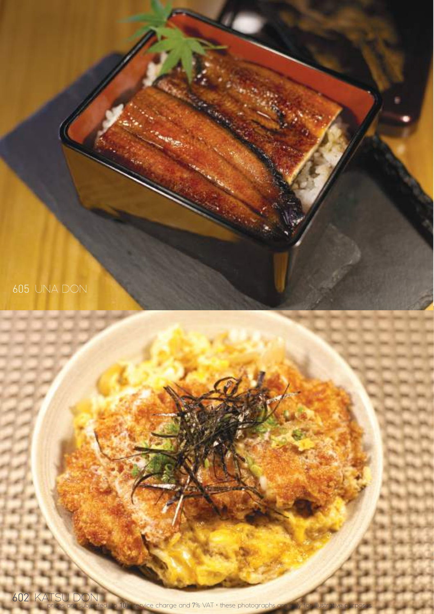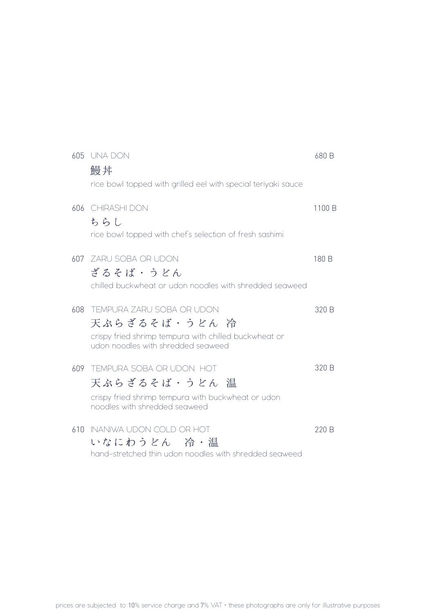|     | 605 UNA DON<br>鰻丼<br>rice bowl topped with grilled eel with special teriyaki sauce                                                        | 680 B  |
|-----|-------------------------------------------------------------------------------------------------------------------------------------------|--------|
| 606 | <b>CHIRASHI DON</b><br>ちらし<br>rice bowl topped with chef's selection of fresh sashimi                                                     | 1100 B |
| ሪበ7 | ZARU SOBA OR UDON<br>ざるそば・うどん<br>chilled buckwheat or udon noodles with shredded seaweed                                                  | 180 B  |
| 608 | TEMPURA ZARU SOBA OR UDON<br>天ぷらざるそば・うどん 冷<br>crispy fried shrimp tempura with chilled buckwheat or<br>udon noodles with shredded seaweed | 320 B  |
| 609 | TEMPURA SOBA OR UDON HOT<br>天ぷらざるそば・うどん 温<br>crispy fried shrimp tempura with buckwheat or udon<br>noodles with shredded seaweed          | 320 B  |
| 610 | INANIWA UDON COLD OR HOT<br>いなにわうどん 冷・温<br>hand-stretched thin udon noodles with shredded seaweed                                         | 220 B  |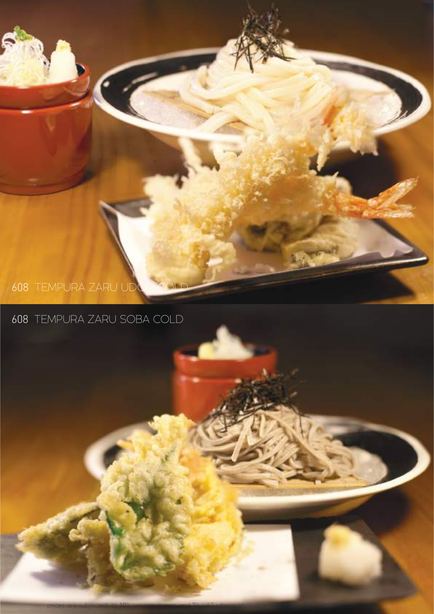### 608 TEMPURA ZARU UDO

### 608 TEMPURA ZARU SOBA COLD

prices are subjected to  $10\%$  service charge and  $7\%$  VAT  $\cdot$  these photographs are only for illustrative purposes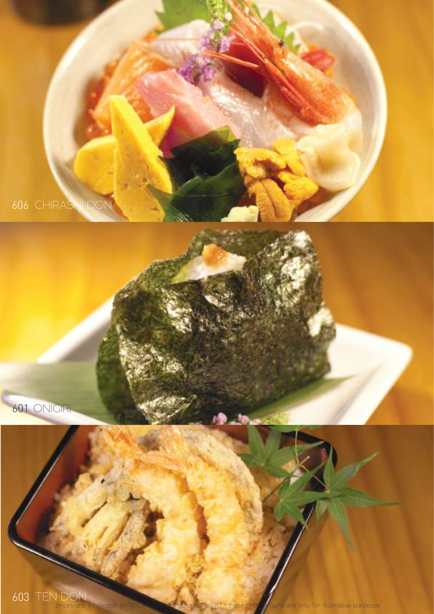

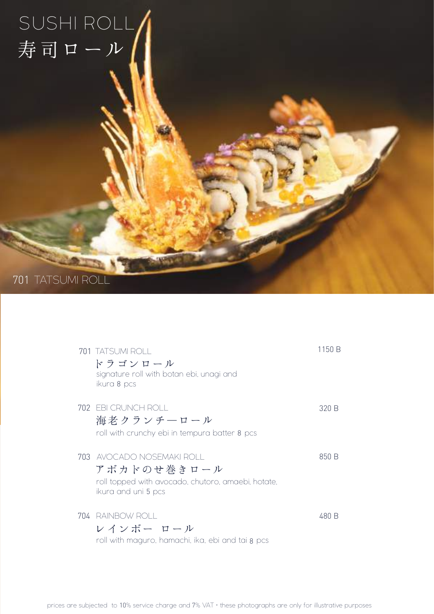## SUSHI ROLL 寿司ロール

701 TATSUMI ROLL

|      | 701 TATSUMI ROLL<br>ドラゴンロール<br>signature roll with botan ebi, unagi and<br>ikura 8 pcs                            | 1150 B |
|------|-------------------------------------------------------------------------------------------------------------------|--------|
|      | 702 EBI CRUNCH ROLL<br>海老クランチーロール<br>roll with crunchy ebi in tempura batter 8 pcs                                | 320 B  |
| 703. | AVOCADO NOSEMAKI ROLL<br>アボカドのせ巻きロール<br>roll topped with avocado, chutoro, amaebi, hotate,<br>ikura and uni 5 pcs | 850 B  |
|      | 704 RAINBOW ROLL<br>レインボー ロール<br>roll with maguro, hamachi, ika, ebi and tai 8 pcs                                | 480 B  |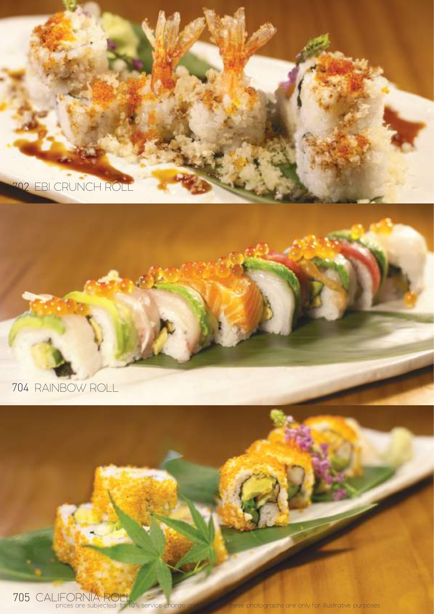

#### 704 RAINBOW ROLL

705 CALIFORNIA ROLL<br>prices are subjected to 10% service charge

these photographs are only for illustrative purposes